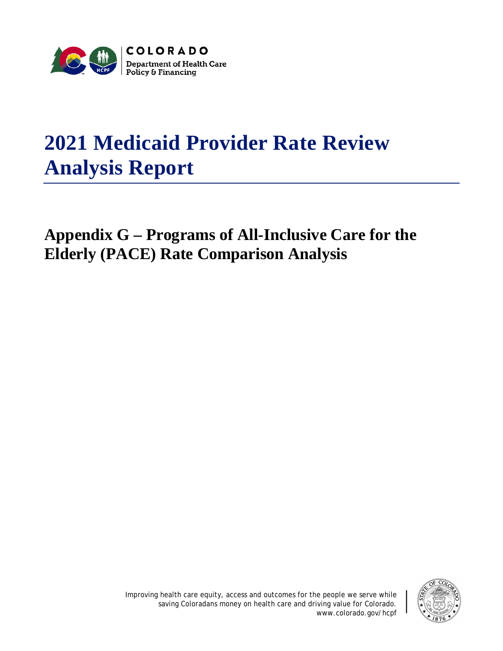

# **2021 Medicaid Provider Rate Review Analysis Report**

## **Appendix G – Programs of All-Inclusive Care for the Elderly (PACE) Rate Comparison Analysis**

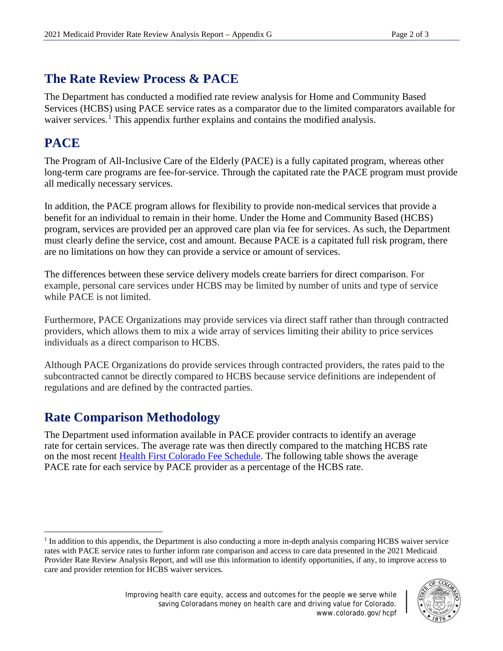#### **The Rate Review Process & PACE**

The Department has conducted a modified rate review analysis for Home and Community Based Services (HCBS) using PACE service rates as a comparator due to the limited comparators available for waiver services.<sup>[1](#page-1-0)</sup> This appendix further explains and contains the modified analysis.

#### **PACE**

The Program of All-Inclusive Care of the Elderly (PACE) is a fully capitated program, whereas other long-term care programs are fee-for-service. Through the capitated rate the PACE program must provide all medically necessary services.

In addition, the PACE program allows for flexibility to provide non-medical services that provide a benefit for an individual to remain in their home. Under the Home and Community Based (HCBS) program, services are provided per an approved care plan via fee for services. As such, the Department must clearly define the service, cost and amount. Because PACE is a capitated full risk program, there are no limitations on how they can provide a service or amount of services.

The differences between these service delivery models create barriers for direct comparison. For example, personal care services under HCBS may be limited by number of units and type of service while PACE is not limited.

Furthermore, PACE Organizations may provide services via direct staff rather than through contracted providers, which allows them to mix a wide array of services limiting their ability to price services individuals as a direct comparison to HCBS.

Although PACE Organizations do provide services through contracted providers, the rates paid to the subcontracted cannot be directly compared to HCBS because service definitions are independent of regulations and are defined by the contracted parties.

### **Rate Comparison Methodology**

The Department used information available in PACE provider contracts to identify an average rate for certain services. The average rate was then directly compared to the matching HCBS rate on the most recent [Health First Colorado Fee Schedule.](https://hcpf.colorado.gov/provider-rates-fee-schedule) The following table shows the average PACE rate for each service by PACE provider as a percentage of the HCBS rate.

<span id="page-1-0"></span> $\overline{a}$ <sup>1</sup> In addition to this appendix, the Department is also conducting a more in-depth analysis comparing HCBS waiver service rates with PACE service rates to further inform rate comparison and access to care data presented in the 2021 Medicaid Provider Rate Review Analysis Report, and will use this information to identify opportunities, if any, to improve access to care and provider retention for HCBS waiver services.